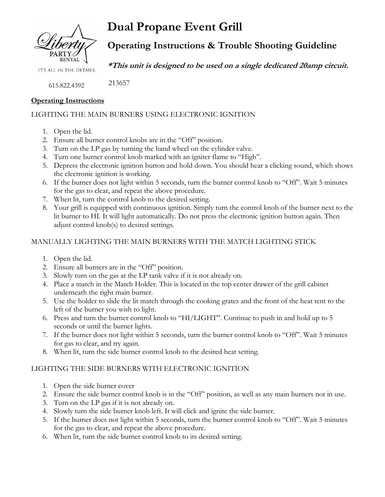

**Dual Propane Event Grill**

**Operating Instructions & Trouble Shooting Guideline**

**\*This unit is designed to be used on a single dedicated 20amp circuit.**

615.822.4392

### **Operating Instructions**

# LIGHTING THE MAIN BURNERS USING ELECTRONIC IGNITION

- 1. Open the lid.
- 2. Ensure all burner control knobs are in the "Off" position.

213657

- 3. Turn on the LP gas by turning the hand wheel on the cylinder valve.
- 4. Turn one burner control knob marked with an igniter flame to "High".
- 5. Depress the electronic ignition button and hold down. You should hear a clicking sound, which shows the electronic ignition is working.
- 6. If the burner does not light within 5 seconds, turn the burner control knob to "Off". Wait 5 minutes for the gas to clear, and repeat the above procedure.
- 7. When lit, turn the control knob to the desired setting.
- 8. Your grill is equipped with continuous ignition. Simply turn the control knob of the burner next to the lit burner to HI. It will light automatically. Do not press the electronic ignition button again. Then adjust control knob(s) to desired settings.

### MANUALLY LIGHTING THE MAIN BURNERS WITH THE MATCH LIGHTING STICK

- 1. Open the lid.
- 2. Ensure all burners are in the "Off" position.
- 3. Slowly turn on the gas at the LP tank valve if it is not already on.
- 4. Place a match in the Match Holder. This is located in the top center drawer of the grill cabinet underneath the right main burner.
- 5. Use the holder to slide the lit match through the cooking grates and the front of the heat tent to the left of the burner you wish to light.
- 6. Press and turn the burner control knob to "HI/LIGHT". Continue to push in and hold up to 5 seconds or until the burner lights.
- 7. If the burner does not light within 5 seconds, turn the burner control knob to "Off". Wait 5 minutes for gas to clear, and try again.
- 8. When lit, turn the side burner control knob to the desired heat setting.

#### LIGHTING THE SIDE BURNERS WITH ELECTRONIC IGNITION

- 1. Open the side burner cover
- 2. Ensure the side burner control knob is in the "Off" position, as well as any main burners not in use.
- 3. Turn on the LP gas if it is not already on.
- 4. Slowly turn the side burner knob left. It will click and ignite the side burner.
- 5. If the burner does not light within 5 seconds, turn the burner control knob to "Off". Wait 5 minutes for the gas to clear, and repeat the above procedure.
- 6. When lit, turn the side burner control knob to its desired setting.